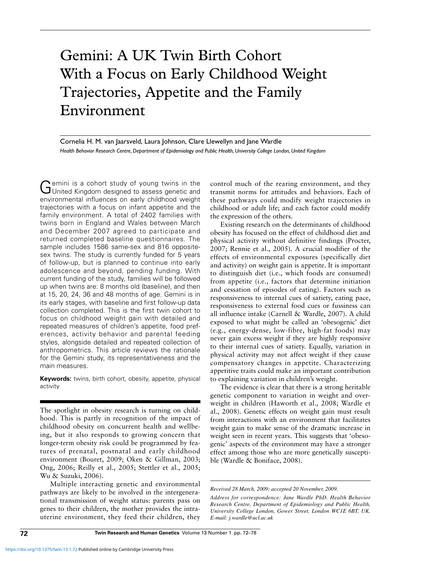# Gemini: A UK Twin Birth Cohort With a Focus on Early Childhood Weight Trajectories, Appetite and the Family Environment

Cornelia H. M. van Jaarsveld, Laura Johnson, Clare Llewellyn and Jane Wardle *Health Behavior Research Centre, Department of Epidemiology and Public Health, University College London, United Kingdom*

Gemini is a cohort study of young twins in the United Kingdom designed to assess genetic and environmental influences on early childhood weight trajectories with a focus on infant appetite and the family environment. A total of 2402 families with twins born in England and Wales between March and December 2007 agreed to participate and returned completed baseline questionnaires. The sample includes 1586 same-sex and 816 oppositesex twins. The study is currently funded for 5 years of follow-up, but is planned to continue into early adolescence and beyond, pending funding. With current funding of the study, families will be followed up when twins are: 8 months old (baseline), and then at 15, 20, 24, 36 and 48 months of age. Gemini is in its early stages, with baseline and first follow-up data collection completed. This is the first twin cohort to focus on childhood weight gain with detailed and repeated measures of children's appetite, food preferences, activity behavior and parental feeding styles, alongside detailed and repeated collection of anthropometrics. This article reviews the rationale for the Gemini study, its representativeness and the main measures.

**Keywords:** twins, birth cohort, obesity, appetite, physical activity

The spotlight in obesity research is turning on childhood. This is partly in recognition of the impact of childhood obesity on concurrent health and wellbeing, but it also responds to growing concern that longer-term obesity risk could be programmed by features of prenatal, postnatal and early childhood environment (Bouret, 2009; Oken & Gillman, 2003; Ong, 2006; Reilly et al., 2005; Stettler et al., 2005; Wu & Suzuki, 2006).

Multiple interacting genetic and environmental pathways are likely to be involved in the intergenerational transmission of weight status: parents pass on genes to their children, the mother provides the intrauterine environment, they feed their children, they

control much of the rearing environment, and they transmit norms for attitudes and behaviors. Each of these pathways could modify weight trajectories in childhood or adult life; and each factor could modify the expression of the others.

Existing research on the determinants of childhood obesity has focused on the effect of childhood diet and physical activity without definitive findings (Procter, 2007; Rennie et al., 2005). A crucial modifier of the effects of environmental exposures (specifically diet and activity) on weight gain is appetite. It is important to distinguish diet (i.e., which foods are consumed) from appetite (i.e., factors that determine initiation and cessation of episodes of eating). Factors such as responsiveness to internal cues of satiety, eating pace, responsiveness to external food cues or fussiness can all influence intake (Carnell & Wardle, 2007). A child exposed to what might be called an 'obesogenic' diet (e.g., energy-dense, low-fibre, high-fat foods) may never gain excess weight if they are highly responsive to their internal cues of satiety. Equally, variation in physical activity may not affect weight if they cause compensatory changes in appetite. Characterizing appetitive traits could make an important contribution to explaining variation in children's weight.

The evidence is clear that there is a strong heritable genetic component to variation in weight and overweight in children (Haworth et al., 2008; Wardle et al., 2008). Genetic effects on weight gain must result from interactions with an environment that facilitates weight gain to make sense of the dramatic increase in weight seen in recent years. This suggests that 'obesogenic' aspects of the environment may have a stronger effect among those who are more genetically susceptible (Wardle & Boniface, 2008).

*Received 28 March, 2009; accepted 20 November, 2009.*

*Address for correspondence: Jane Wardle PhD. Health Behavior Research Centre, Department of Epidemiology and Public Health, University College London, Gower Street, London WC1E 6BT, UK. E-mail: j.wardle@ucl.ac.uk*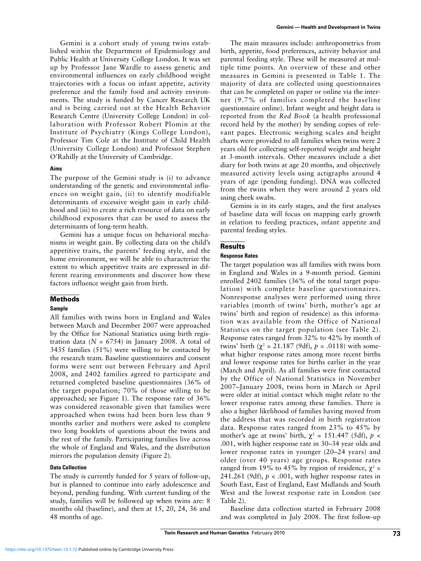Gemini is a cohort study of young twins established within the Department of Epidemiology and Public Health at University College London. It was set up by Professor Jane Wardle to assess genetic and environmental influences on early childhood weight trajectories with a focus on infant appetite, activity preference and the family food and activity environments. The study is funded by Cancer Research UK and is being carried out at the Health Behavior Research Centre (University College London) in collaboration with Professor Robert Plomin at the Institute of Psychiatry (Kings College London), Professor Tim Cole at the Institute of Child Health (University College London) and Professor Stephen O'Rahilly at the University of Cambridge.

### **Aims**

The purpose of the Gemini study is (i) to advance understanding of the genetic and environmental influences on weight gain, (ii) to identify modifiable determinants of excessive weight gain in early childhood and (iii) to create a rich resource of data on early childhood exposures that can be used to assess the determinants of long-term health.

Gemini has a unique focus on behavioral mechanisms in weight gain. By collecting data on the child's appetitive traits, the parents' feeding style, and the home environment, we will be able to characterize the extent to which appetitive traits are expressed in different rearing environments and discover how these factors influence weight gain from birth.

## **Methods**

## **Sample**

All families with twins born in England and Wales between March and December 2007 were approached by the Office for National Statistics using birth registration data ( $N = 6754$ ) in January 2008. A total of 3435 families (51%) were willing to be contacted by the research team. Baseline questionnaires and consent forms were sent out between February and April 2008, and 2402 families agreed to participate and returned completed baseline questionnaires (36% of the target population; 70% of those willing to be approached; see Figure 1). The response rate of 36% was considered reasonable given that families were approached when twins had been born less than 9 months earlier and mothers were asked to complete two long booklets of questions about the twins and the rest of the family. Participating families live across the whole of England and Wales, and the distribution mirrors the population density (Figure 2).

## **Data Collection**

The study is currently funded for 5 years of follow-up, but is planned to continue into early adolescence and beyond, pending funding. With current funding of the study, families will be followed up when twins are: 8 months old (baseline), and then at 15, 20, 24, 36 and 48 months of age.

The main measures include: anthropometrics from birth, appetite, food preferences, activity behavior and parental feeding style. These will be measured at multiple time points. An overview of these and other measures in Gemini is presented in Table 1. The majority of data are collected using questionnaires that can be completed on paper or online via the internet (9.7% of families completed the baseline questionnaire online). Infant weight and height data is reported from the *Red Book* (a health professional record held by the mother) by sending copies of relevant pages. Electronic weighing scales and height charts were provided to all families when twins were 2 years old for collecting self-reported weight and height at 3-month intervals. Other measures include a diet diary for both twins at age 20 months, and objectively measured activity levels using actigraphs around 4 years of age (pending funding). DNA was collected from the twins when they were around 2 years old using cheek swabs.

Gemini is in its early stages, and the first analyses of baseline data will focus on mapping early growth in relation to feeding practices, infant appetite and parental feeding styles.

# **Results**

## **Response Rates**

The target population was all families with twins born in England and Wales in a 9-month period. Gemini enrolled 2402 families (36% of the total target population) with complete baseline questionnaires. Nonresponse analyses were performed using three variables (month of twins' birth, mother's age at twins' birth and region of residence) as this information was available from the Office of National Statistics on the target population (see Table 2). Response rates ranged from 32% to 42% by month of twins' birth ( $\chi^2$  = 21.187 (9df), *p* = .0118) with somewhat higher response rates among more recent births and lower response rates for births earlier in the year (March and April). As all families were first contacted by the Office of National Statistics in November 2007–January 2008, twins born in March or April were older at initial contact which might relate to the lower response rates among these families. There is also a higher likelihood of families having moved from the address that was recorded in birth registration data. Response rates ranged from 23% to 45% by mother's age at twins' birth,  $\chi^2$  = 151.447 (5df),  $p \lt \chi$ .001, with higher response rate in 30–34 year olds and lower response rates in younger (20–24 years) and older (over 40 years) age groups. Response rates ranged from 19% to 45% by region of residence,  $\chi^2$  = 241.261 (9df),  $p < .001$ , with higher response rates in South East, East of England, East Midlands and South West and the lowest response rate in London (see Table 2).

Baseline data collection started in February 2008 and was completed in July 2008. The first follow-up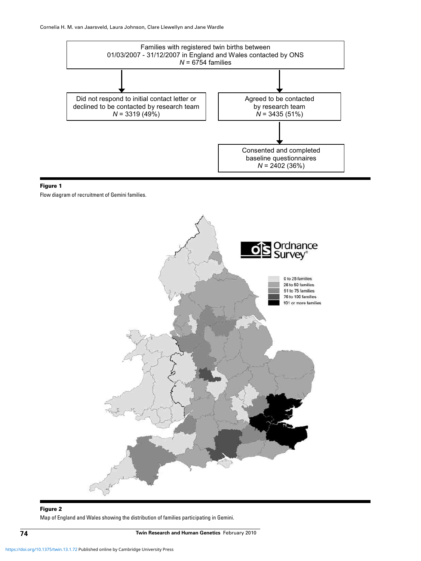

## **Figure 1**

Flow diagram of recruitment of Gemini families.



# **Figure 2**

Map of England and Wales showing the distribution of families participating in Gemini.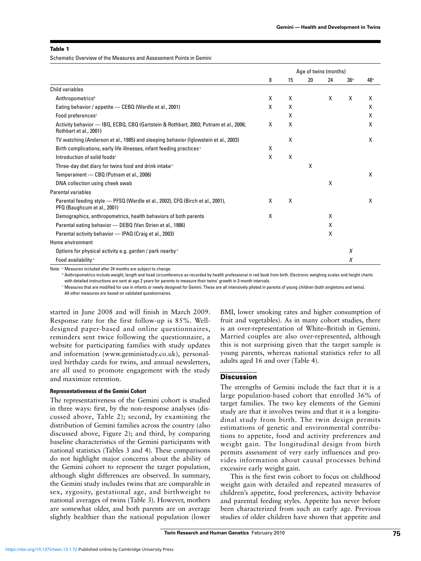## **Table 1**

Schematic Overview of the Measures and Assessment Points in Gemini

|                                                                                                                | Age of twins (months) |    |    |    |                 |     |
|----------------------------------------------------------------------------------------------------------------|-----------------------|----|----|----|-----------------|-----|
|                                                                                                                | 8                     | 15 | 20 | 24 | 36 <sup>a</sup> | 48ª |
| Child variables                                                                                                |                       |    |    |    |                 |     |
| Anthropometrics <sup>b</sup>                                                                                   | X                     | X  |    | X  | X               | X   |
| Eating behavior / appetite - CEBQ (Wardle et al., 2001)                                                        | X                     | X  |    |    |                 | X   |
| Food preferences <sup>c</sup>                                                                                  |                       | X  |    |    |                 | X   |
| Activity behavior - IBQ, ECBQ, CBQ (Gartstein & Rothbart, 2003; Putnam et al., 2006;<br>Rothbart et al., 2001) | X                     | X  |    |    |                 | X   |
| TV watching (Anderson et al., 1985) and sleeping behavior (Iglowstein et al., 2003)                            |                       | X  |    |    |                 | X   |
| Birth complications, early life illnesses, infant feeding practices <sup>c</sup>                               | X                     |    |    |    |                 |     |
| Introduction of solid foods <sup>c</sup>                                                                       | X                     | X  |    |    |                 |     |
| Three-day diet diary for twins food and drink intake <sup>c</sup>                                              |                       |    | X  |    |                 |     |
| Temperament - CBQ (Putnam et al., 2006)                                                                        |                       |    |    |    |                 | X   |
| DNA collection using cheek swab                                                                                |                       |    |    | X  |                 |     |
| Parental variables                                                                                             |                       |    |    |    |                 |     |
| Parental feeding style - PFSQ (Wardle et al., 2002), CFQ (Birch et al., 2001),<br>PFQ (Baughcum et al., 2001)  | X                     | X  |    |    |                 | X   |
| Demographics, anthropometrics, health behaviors of both parents                                                | X                     |    |    | X  |                 |     |
| Parental eating behavior - DEBQ (Van Strien et al., 1986)                                                      |                       |    |    | X  |                 |     |
| Parental activity behavior - IPAQ (Craig et al., 2003)                                                         |                       |    |    | X  |                 |     |
| Home environment                                                                                               |                       |    |    |    |                 |     |
| Options for physical activity e.g. garden / park nearby c                                                      |                       |    |    |    | X               |     |
| Food availability <sup>c</sup>                                                                                 |                       |    |    |    | X               |     |

Note: <sup>a</sup> Measures included after 24 months are subject to change.

**b** Anthropometrics include weight, length and head circumference as recorded by health professional in red book from birth. Electronic weighing scales and height charts with detailed instructions are sent at age 2 years for parents to measure their twins' growth in 3-month intervals.

<sup>c</sup> Measures that are modified for use in infants or newly designed for Gemini. These are all intensively piloted in parents of young children (both singletons and twins). All other measures are based on validated questionnaires.

started in June 2008 and will finish in March 2009. Response rate for the first follow-up is 85%. Welldesigned paper-based and online questionnaires, reminders sent twice following the questionnaire, a website for participating families with study updates and information (www.geministudy.co.uk), personalized birthday cards for twins, and annual newsletters, are all used to promote engagement with the study and maximize retention.

#### **Representativeness of the Gemini Cohort**

The representativeness of the Gemini cohort is studied in three ways: first, by the non-response analyses (discussed above, Table 2); second, by examining the distribution of Gemini families across the country (also discussed above, Figure 2); and third, by comparing baseline characteristics of the Gemini participants with national statistics (Tables 3 and 4). These comparisons do not highlight major concerns about the ability of the Gemini cohort to represent the target population, although slight differences are observed. In summary, the Gemini study includes twins that are comparable in sex, zygosity, gestational age, and birthweight to national averages of twins (Table 3). However, mothers are somewhat older, and both parents are on average slightly healthier than the national population (lower

BMI, lower smoking rates and higher consumption of fruit and vegetables). As in many cohort studies, there is an over-representation of White–British in Gemini. Married couples are also over-represented, although this is not surprising given that the target sample is young parents, whereas national statistics refer to all adults aged 16 and over (Table 4).

## **Discussion**

The strengths of Gemini include the fact that it is a large population-based cohort that enrolled 36% of target families. The two key elements of the Gemini study are that it involves twins and that it is a longitudinal study from birth. The twin design permits estimations of genetic and environmental contributions to appetite, food and activity preferences and weight gain. The longitudinal design from birth permits assessment of very early influences and provides information about causal processes behind excessive early weight gain.

This is the first twin cohort to focus on childhood weight gain with detailed and repeated measures of children's appetite, food preferences, activity behavior and parental feeding styles. Appetite has never before been characterized from such an early age. Previous studies of older children have shown that appetite and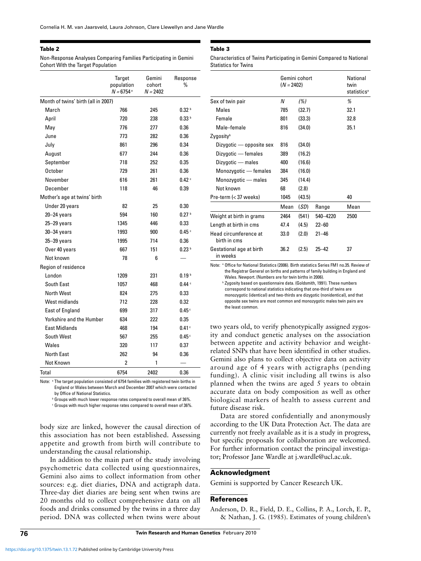Cornelia H. M. van Jaarsveld, Laura Johnson, Clare Llewellyn and Jane Wardle

## **Table 2**

Non-Response Analyses Comparing Families Participating in Gemini Cohort With the Target Population

|                                     | Target<br>population<br>$N = 6754$ <sup>a</sup> | Gemini<br>cohort<br>$N = 2402$ | Response<br>%     |
|-------------------------------------|-------------------------------------------------|--------------------------------|-------------------|
| Month of twins' birth (all in 2007) |                                                 |                                |                   |
| March                               | 766                                             | 245                            | 0.32 <sup>b</sup> |
| April                               | 720                                             | 238                            | 0.33 <sup>b</sup> |
| May                                 | 776                                             | 277                            | 0.36              |
| June                                | 773                                             | 282                            | 0.36              |
| July                                | 861                                             | 296                            | 0.34              |
| August                              | 677                                             | 244                            | 0.36              |
| September                           | 718                                             | 252                            | 0.35              |
| October                             | 729                                             | 261                            | 0.36              |
| November                            | 616                                             | 261                            | 0.42C             |
| December                            | 118                                             | 46                             | 0.39              |
| Mother's age at twins' birth        |                                                 |                                |                   |
| Under 20 years                      | 82                                              | 25                             | 0.30              |
| $20 - 24$ years                     | 594                                             | 160                            | 0.27 <sup>b</sup> |
| 25-29 years                         | 1345                                            | 446                            | 0.33              |
| 30–34 years                         | 1993                                            | 900                            | 0.45C             |
| $35 - 39$ years                     | 1995                                            | 714                            | 0.36              |
| Over 40 years                       | 667                                             | 151                            | 0.23h             |
| Not known                           | 78                                              | 6                              |                   |
| Region of residence                 |                                                 |                                |                   |
| London                              | 1209                                            | 231                            | 0.19 <sup>b</sup> |
| South Fast                          | 1057                                            | 468                            | 0.44 <sup>c</sup> |
| North West                          | 824                                             | 275                            | 0.33              |
| West midlands                       | 712                                             | 228                            | 0.32              |
| East of England                     | 699                                             | 317                            | 0.45c             |
| Yorkshire and the Humber            | 634                                             | 222                            | 0.35              |
| <b>East Midlands</b>                | 468                                             | 194                            | 0.41 <sup>c</sup> |
| South West                          | 567                                             | 255                            | $0.45^{\circ}$    |
| Wales                               | 320                                             | 117                            | 0.37              |
| North East                          | 262                                             | 94                             | 0.36              |
| Not Known                           | 2                                               | 1                              |                   |
| Total                               | 6754                                            | 2402                           | 0.36              |

Note: <sup>a</sup> The target population consisted of 6754 families with registered twin births in England or Wales between March and December 2007 which were contacted by Office of National Statistics.

**b** Groups with much lower response rates compared to overall mean of 36%.

<sup>c</sup> Groups with much higher response rates compared to overall mean of 36%.

body size are linked, however the causal direction of this association has not been established. Assessing appetite and growth from birth will contribute to understanding the causal relationship.

In addition to the main part of the study involving psychometric data collected using questionnaires, Gemini also aims to collect information from other sources: e.g. diet diaries, DNA and actigraph data. Three-day diet diaries are being sent when twins are 20 months old to collect comprehensive data on all foods and drinks consumed by the twins in a three day period. DNA was collected when twins were about

#### **Table 3**

Characteristics of Twins Participating in Gemini Compared to National Statistics for Twins

|                                       | $(N = 2402)$ | Gemini cohort | National<br>twin<br>statistics <sup>a</sup> |      |
|---------------------------------------|--------------|---------------|---------------------------------------------|------|
| Sex of twin pair                      | N            | (%)           |                                             | ℅    |
| Males                                 | 785          | (32.7)        |                                             | 32.1 |
| Female                                | 801          | (33.3)        |                                             | 32.8 |
| Male-female                           | 816          | (34.0)        |                                             | 35.1 |
| Zygosity <sup>b</sup>                 |              |               |                                             |      |
| Dizygotic — opposite sex              | 816          | (34.0)        |                                             |      |
| Dizygotic - females                   | 389          | (16.2)        |                                             |      |
| Dizygotic — males                     | 400          | (16.6)        |                                             |      |
| Monozygotic - females                 | 384          | (16.0)        |                                             |      |
| Monozygotic - males                   | 345          | (14.4)        |                                             |      |
| Not known                             | 68           | (2.8)         |                                             |      |
| Pre-term (< 37 weeks)                 | 1045         | (43.5)        |                                             | 40   |
|                                       | Mean         | (SD)          | Range                                       | Mean |
| Weight at birth in grams              | 2464         | (541)         | 540-4220                                    | 2500 |
| Length at birth in cms                | 47.4         | (4.5)         | $22 - 60$                                   |      |
| Head circumference at<br>birth in cms | 33.0         | (2.0)         | $21 - 46$                                   |      |
| Gestational age at birth<br>in weeks  | 36.2         | (2.5)         | $25 - 42$                                   | 37   |

Note: <sup>a</sup> Office for National Statistics (2006). Birth statistics Series FM1 no.35. Review of the Registrar General on births and patterns of family building in England and Wales. Newport. (Numbers are for twin births in 2006).

<sup>b</sup> Zygosity based on questionnaire data. (Goldsmith, 1991). These numbers correspond to national statistics indicating that one-third of twins are monozygotic (identical) and two-thirds are dizygotic (nonidentical), and that opposite sex twins are most common and monozygotic males twin pairs are the least common.

two years old, to verify phenotypically assigned zygosity and conduct genetic analyses on the association between appetite and activity behavior and weightrelated SNPs that have been identified in other studies. Gemini also plans to collect objective data on activity around age of 4 years with actigraphs (pending funding). A clinic visit including all twins is also planned when the twins are aged 5 years to obtain accurate data on body composition as well as other biological markers of health to assess current and future disease risk.

Data are stored confidentially and anonymously according to the UK Data Protection Act. The data are currently not freely available as it is a study in progress, but specific proposals for collaboration are welcomed. For further information contact the principal investigator; Professor Jane Wardle at j.wardle@ucl.ac.uk.

## **Acknowledgment**

Gemini is supported by Cancer Research UK.

## **References**

Anderson, D. R., Field, D. E., Collins, P. A., Lorch, E. P., & Nathan, J. G. (1985). Estimates of young children's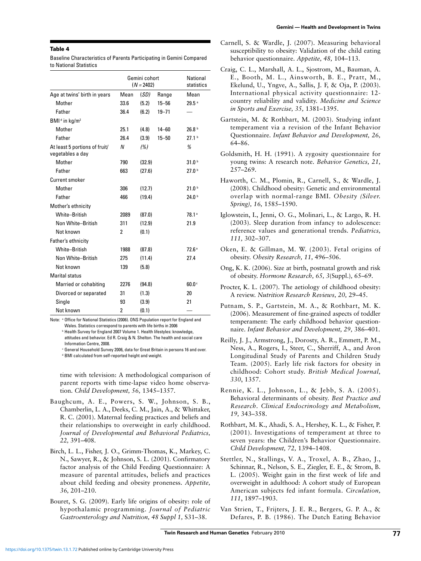## **Table 4**

Baseline Characteristics of Parents Participating in Gemini Compared to National Statistics

|                                                   | Gemini cohort<br>$(N = 2402)$ | National<br>statistics |           |                   |
|---------------------------------------------------|-------------------------------|------------------------|-----------|-------------------|
| Age at twins' birth in years                      | Mean                          | (SD)                   | Range     | Mean              |
| Mother                                            | 33.6                          | (5.2)                  | $15 - 56$ | 29.5 <sup>a</sup> |
| Father                                            | 36.4                          | (6.2)                  | $19 - 71$ |                   |
| $BMId$ in kg/m <sup>2</sup>                       |                               |                        |           |                   |
| Mother                                            | 25.1                          | (4.8)                  | $14 - 60$ | 26.8 <sup>b</sup> |
| Father                                            | 26.4                          | (3.9)                  | $15 - 50$ | 27.1 <sup>b</sup> |
| At least 5 portions of fruit/<br>vegetables a day | N                             | (%)                    |           | %                 |
| Mother                                            | 790                           | (32.9)                 |           | 31.0 <sup>b</sup> |
| Father                                            | 663                           | (27.6)                 |           | 27.0 <sup>b</sup> |
| Current smoker                                    |                               |                        |           |                   |
| Mother                                            | 306                           | (12.7)                 |           | 21.0 <sup>b</sup> |
| Father                                            | 466                           | (19.4)                 |           | 24.0 <sup>b</sup> |
| Mother's ethnicity                                |                               |                        |           |                   |
| White-British                                     | 2089                          | (87.0)                 |           | 78.1 <sup>a</sup> |
| Non White-British                                 | 311                           | (12.9)                 |           | 21.9              |
| Not known                                         | 2                             | (0.1)                  |           |                   |
| Father's ethnicity                                |                               |                        |           |                   |
| White-British                                     | 1988                          | (87.8)                 |           | 72.6 <sup>a</sup> |
| Non White-British                                 | 275                           | (11.4)                 |           | 27.4              |
| Not known                                         | 139                           | (5.8)                  |           |                   |
| Marital status                                    |                               |                        |           |                   |
| Married or cohabiting                             | 2276                          | (94.8)                 |           | $60.0^\circ$      |
| Divorced or separated                             | 31                            | (1.3)                  |           | 20                |
| Single                                            | 93                            | (3.9)                  |           | 21                |
| Not known                                         | $\overline{2}$                | (0.1)                  |           |                   |

Note: <sup>a</sup> Office for National Statistics (2006). ONS Population report for England and Wales. Statistics correspond to parents with life births in 2006

<sup>b</sup> Health Survey for England 2007 Volume 1. Health lifestyles: knowledge, attitudes and behavior. Ed R. Craig & N. Shelton. The health and social care Information Centre, 2008.

<sup>c</sup> General Household Survey 2006, data for Great Britain in persons 16 and over. <sup>d</sup> BMI calculated from self-reported height and weight.

time with television: A methodological comparison of parent reports with time-lapse video home observation. *Child Development, 56,* 1345–1357.

- Baughcum, A. E., Powers, S. W., Johnson, S. B., Chamberlin, L. A., Deeks, C. M., Jain, A., & Whittaker, R. C. (2001). Maternal feeding practices and beliefs and their relationships to overweight in early childhood. *Journal of Developmental and Behavioral Pediatrics, 22,* 391–408.
- Birch, L. L., Fisher, J. O., Grimm-Thomas, K., Markey, C. N., Sawyer, R., & Johnson, S. L. (2001). Confirmatory factor analysis of the Child Feeding Questionnaire: A measure of parental attitudes, beliefs and practices about child feeding and obesity proneness. *Appetite, 36,* 201–210.
- Bouret, S. G. (2009). Early life origins of obesity: role of hypothalamic programming. *Journal of Pediatric Gastroenterology and Nutrition, 48 Suppl 1,* S31–38.
- Carnell, S. & Wardle, J. (2007). Measuring behavioral susceptibility to obesity: Validation of the child eating behavior questionnaire. *Appetite, 48,* 104–113.
- Craig, C. L., Marshall, A. L., Sjostrom, M., Bauman, A. E., Booth, M. L., Ainsworth, B. E., Pratt, M., Ekelund, U., Yngve, A., Sallis, J. F, & Oja, P. (2003). International physical activity questionnaire: 12 country reliability and validity. *Medicine and Science in Sports and Exercise, 35,* 1381–1395.
- Gartstein, M. & Rothbart, M. (2003). Studying infant temperament via a revision of the Infant Behavior Questionnaire. *Infant Behavior and Development, 26,* 64–86.
- Goldsmith, H. H. (1991). A zygosity questionnaire for young twins: A research note. *Behavior Genetics, 21,* 257–269.
- Haworth, C. M., Plomin, R., Carnell, S., & Wardle, J. (2008). Childhood obesity: Genetic and environmental overlap with normal-range BMI. *Obesity (Silver. Spring), 16,* 1585–1590.
- Iglowstein, I., Jenni, O. G., Molinari, L., & Largo, R. H. (2003). Sleep duration from infancy to adolescence: reference values and generational trends. *Pediatrics, 111,* 302–307.
- Oken, E. & Gillman, M. W. (2003). Fetal origins of obesity. *Obesity Research, 11,* 496–506.
- Ong, K. K. (2006). Size at birth, postnatal growth and risk of obesity. *Hormone Research, 65, 3*(Suppl.)*,* 65–69.
- Procter, K. L. (2007). The aetiology of childhood obesity: A review. *Nutrition Research Reviews, 20,* 29–45.
- Putnam, S. P., Gartstein, M. A., & Rothbart, M. K. (2006). Measurement of fine-grained aspects of toddler temperament: The early childhood behavior questionnaire. *Infant Behavior and Development, 29,* 386–401.
- Reilly, J. J., Armstrong, J., Dorosty, A. R., Emmett, P. M., Ness, A., Rogers, I., Steer, C., Sherriff, A., and Avon Longitudinal Study of Parents and Children Study Team. (2005). Early life risk factors for obesity in childhood: Cohort study. *British Medical Journal, 330*, 1357.
- Rennie, K. L., Johnson, L., & Jebb, S. A. (2005). Behavioral determinants of obesity. *Best Practice and Research. Clinical Endocrinology and Metabolism, 19,* 343–358.
- Rothbart, M. K., Ahadi, S. A., Hershey, K. L., & Fisher, P. (2001). Investigations of temperament at three to seven years: the Children's Behavior Questionnaire. *Child Development, 72,* 1394–1408.
- Stettler, N., Stallings, V. A., Troxel, A. B., Zhao, J., Schinnar, R., Nelson, S. E., Ziegler, E. E., & Strom, B. L. (2005). Weight gain in the first week of life and overweight in adulthood: A cohort study of European American subjects fed infant formula. *Circulation, 111*, 1897–1903.
- Van Strien, T., Frijters, J. E. R., Bergers, G. P. A., & Defares, P. B. (1986). The Dutch Eating Behavior